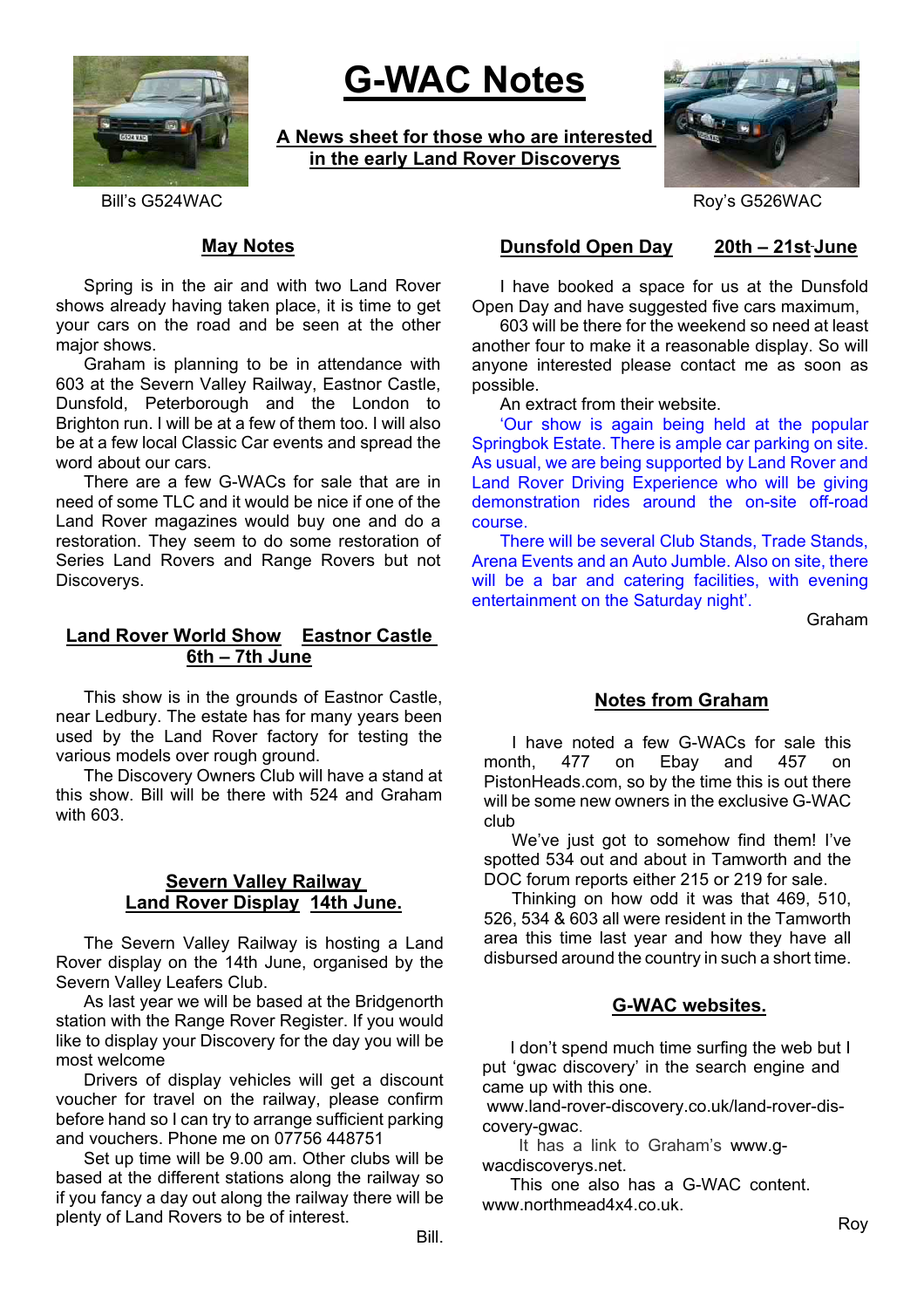

# **G-WAC Notes**

**A News sheet for those who are interested in the early Land Rover Discoverys**



Bill's G524WAC Roy's G526WAC

# **May Notes**

Spring is in the air and with two Land Rover shows already having taken place, it is time to get your cars on the road and be seen at the other major shows.

Graham is planning to be in attendance with 603 at the Severn Valley Railway, Eastnor Castle, Dunsfold, Peterborough and the London to Brighton run. I will be at a few of them too. I will also be at a few local Classic Car events and spread the word about our cars.

There are a few G-WACs for sale that are in need of some TLC and it would be nice if one of the Land Rover magazines would buy one and do a restoration. They seem to do some restoration of Series Land Rovers and Range Rovers but not Discoverys.

# **Land Rover World Show Eastnor Castle 6th – 7th June**

This show is in the grounds of Eastnor Castle, near Ledbury. The estate has for many years been used by the Land Rover factory for testing the various models over rough ground.

The Discovery Owners Club will have a stand at this show. Bill will be there with 524 and Graham with 603.

# **Severn Valley Railway Land Rover Display 14th June.**

The Severn Valley Railway is hosting a Land Rover display on the 14th June, organised by the Severn Valley Leafers Club.

As last year we will be based at the Bridgenorth station with the Range Rover Register. If you would like to display your Discovery for the day you will be most welcome

Drivers of display vehicles will get a discount voucher for travel on the railway, please confirm before hand so I can try to arrange sufficient parking and vouchers. Phone me on 07756 448751

Set up time will be 9.00 am. Other clubs will be based at the different stations along the railway so if you fancy a day out along the railway there will be plenty of Land Rovers to be of interest.

# **Dunsfold Open Day 20th – 21st June**

I have booked a space for us at the Dunsfold Open Day and have suggested five cars maximum,

603 will be there for the weekend so need at least another four to make it a reasonable display. So will anyone interested please contact me as soon as possible.

An extract from their website.

'Our show is again being held at the popular Springbok Estate. There is ample car parking on site. As usual, we are being supported by Land Rover and Land Rover Driving Experience who will be giving demonstration rides around the on-site off-road course.

There will be several Club Stands, Trade Stands, Arena Events and an Auto Jumble. Also on site, there will be a bar and catering facilities, with evening entertainment on the Saturday night'.

Graham

# **Notes from Graham**

I have noted a few G-WACs for sale this month, 477 on Ebay and 457 on PistonHeads.com, so by the time this is out there will be some new owners in the exclusive G-WAC club

We've just got to somehow find them! I've spotted 534 out and about in Tamworth and the DOC forum reports either 215 or 219 for sale.

Thinking on how odd it was that 469, 510, 526, 534 & 603 all were resident in the Tamworth area this time last year and how they have all disbursed around the country in such a short time.

# **G-WAC websites.**

I don't spend much time surfing the web but I put 'gwac discovery' in the search engine and came up with this one.

 www.land-rover-discovery.co.uk/land-rover-discovery-gwac.

 It has a link to Graham's www.gwacdiscoverys.net.

This one also has a G-WAC content. www.northmead4x4.co.uk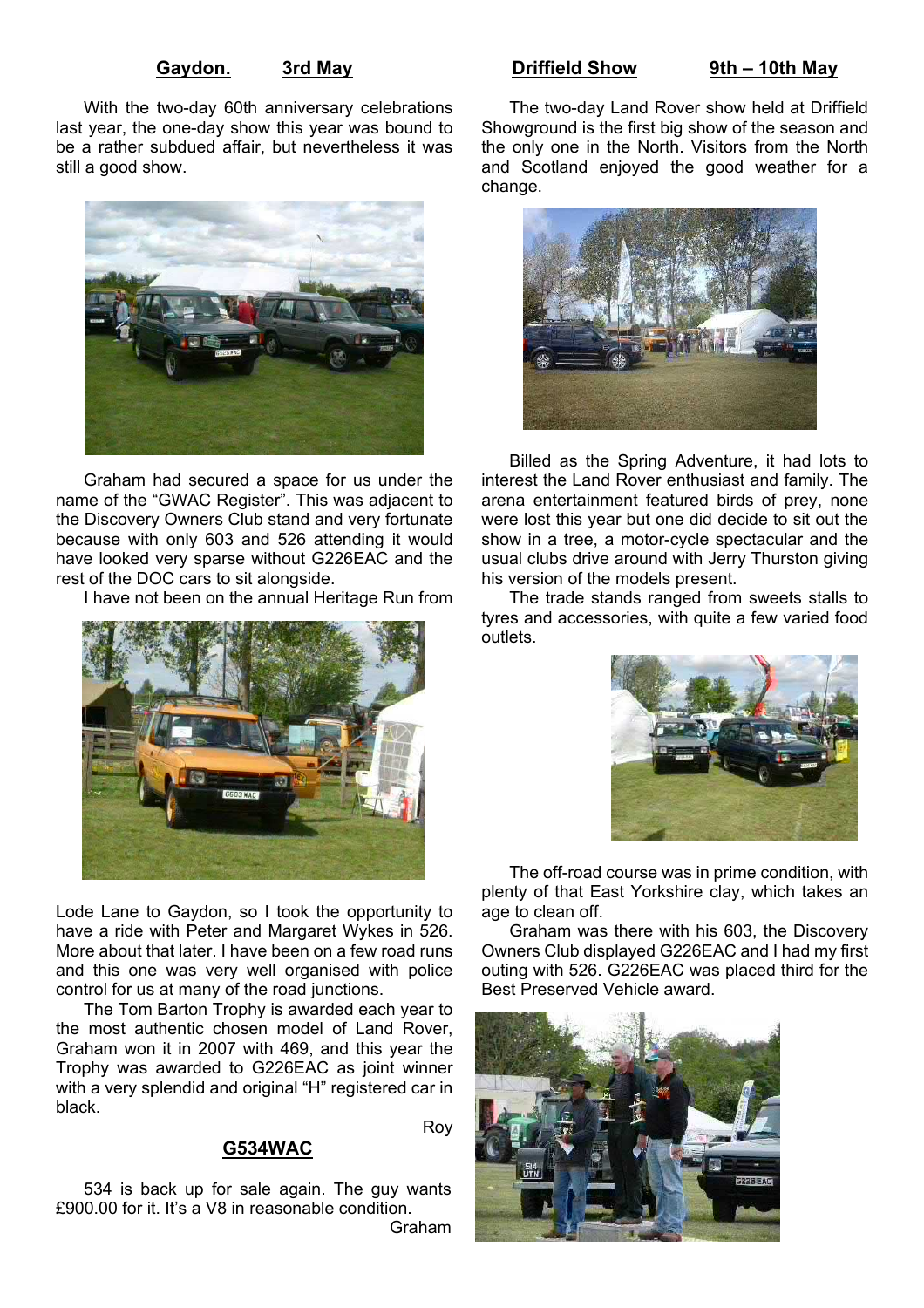### **Gaydon. 3rd May**

With the two-day 60th anniversary celebrations last year, the one-day show this year was bound to be a rather subdued affair, but nevertheless it was still a good show.



Graham had secured a space for us under the name of the "GWAC Register". This was adjacent to the Discovery Owners Club stand and very fortunate because with only 603 and 526 attending it would have looked very sparse without G226EAC and the rest of the DOC cars to sit alongside.

I have not been on the annual Heritage Run from



Lode Lane to Gaydon, so I took the opportunity to have a ride with Peter and Margaret Wykes in 526. More about that later. I have been on a few road runs and this one was very well organised with police control for us at many of the road junctions.

The Tom Barton Trophy is awarded each year to the most authentic chosen model of Land Rover, Graham won it in 2007 with 469, and this year the Trophy was awarded to G226EAC as joint winner with a very splendid and original "H" registered car in black.

### **G534WAC**

534 is back up for sale again. The guy wants £900.00 for it. It's a V8 in reasonable condition.

Graham

Roy

**Driffield Show 9th – 10th May**

The two-day Land Rover show held at Driffield Showground is the first big show of the season and the only one in the North. Visitors from the North and Scotland enjoyed the good weather for a change.



Billed as the Spring Adventure, it had lots to interest the Land Rover enthusiast and family. The arena entertainment featured birds of prey, none were lost this year but one did decide to sit out the show in a tree, a motor-cycle spectacular and the usual clubs drive around with Jerry Thurston giving his version of the models present.

The trade stands ranged from sweets stalls to tyres and accessories, with quite a few varied food outlets.



The off-road course was in prime condition, with plenty of that East Yorkshire clay, which takes an age to clean off.

Graham was there with his 603, the Discovery Owners Club displayed G226EAC and I had my first outing with 526. G226EAC was placed third for the Best Preserved Vehicle award.

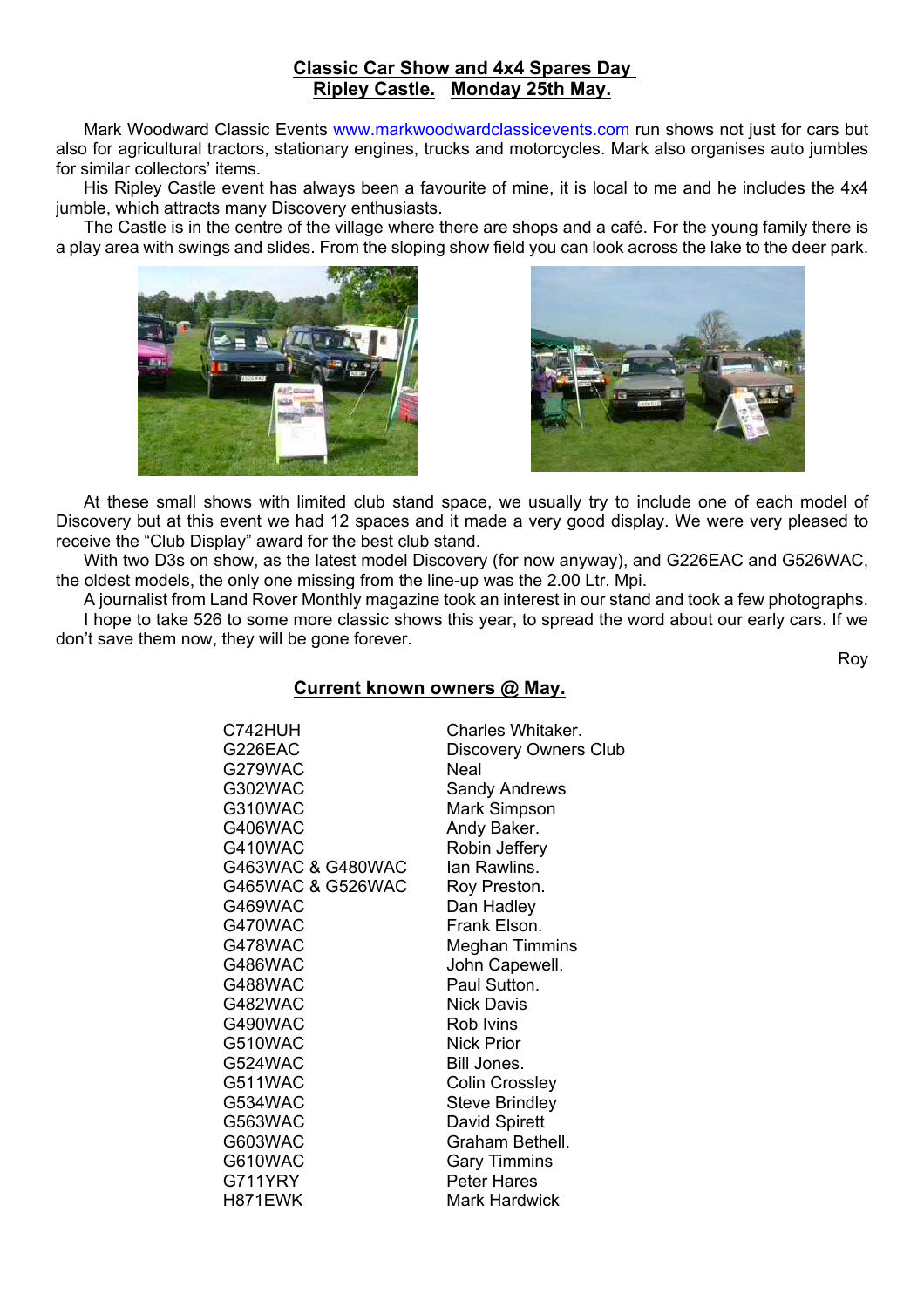# **Classic Car Show and 4x4 Spares Day Ripley Castle. Monday 25th May.**

Mark Woodward Classic Events www.markwoodwardclassicevents.com run shows not just for cars but also for agricultural tractors, stationary engines, trucks and motorcycles. Mark also organises auto jumbles for similar collectors' items.

His Ripley Castle event has always been a favourite of mine, it is local to me and he includes the 4x4 jumble, which attracts many Discovery enthusiasts.

The Castle is in the centre of the village where there are shops and a café. For the young family there is a play area with swings and slides. From the sloping show field you can look across the lake to the deer park.





At these small shows with limited club stand space, we usually try to include one of each model of Discovery but at this event we had 12 spaces and it made a very good display. We were very pleased to receive the "Club Display" award for the best club stand.

With two D3s on show, as the latest model Discovery (for now anyway), and G226EAC and G526WAC, the oldest models, the only one missing from the line-up was the 2.00 Ltr. Mpi.

A journalist from Land Rover Monthly magazine took an interest in our stand and took a few photographs. I hope to take 526 to some more classic shows this year, to spread the word about our early cars. If we don't save them now, they will be gone forever.

Roy

# **Current known owners @ May.**

| C742HUH<br>G226EAC<br>G279WAC<br>G302WAC<br>G310WAC<br>G406WAC<br>G410WAC | Charles Whitaker.<br><b>Discovery Owners Club</b><br>Neal<br><b>Sandy Andrews</b><br>Mark Simpson<br>Andy Baker.<br>Robin Jeffery |
|---------------------------------------------------------------------------|-----------------------------------------------------------------------------------------------------------------------------------|
| G463WAC & G480WAC<br>G465WAC & G526WAC                                    | lan Rawlins.<br>Roy Preston.                                                                                                      |
| G469WAC                                                                   | Dan Hadley                                                                                                                        |
| G470WAC                                                                   | Frank Elson.                                                                                                                      |
| G478WAC                                                                   | Meghan Timmins                                                                                                                    |
| G486WAC                                                                   | John Capewell.                                                                                                                    |
| G488WAC                                                                   | Paul Sutton.                                                                                                                      |
| G482WAC                                                                   | <b>Nick Davis</b>                                                                                                                 |
| G490WAC                                                                   | Rob Ivins                                                                                                                         |
| G510WAC                                                                   | <b>Nick Prior</b>                                                                                                                 |
| G524WAC                                                                   | Bill Jones.                                                                                                                       |
| G511WAC                                                                   | <b>Colin Crossley</b>                                                                                                             |
| G534WAC                                                                   | <b>Steve Brindley</b>                                                                                                             |
| G563WAC                                                                   | David Spirett                                                                                                                     |
| G603WAC                                                                   | Graham Bethell.                                                                                                                   |
| G610WAC                                                                   | <b>Gary Timmins</b>                                                                                                               |
| G711YRY                                                                   | <b>Peter Hares</b>                                                                                                                |
| H871EWK                                                                   | Mark Hardwick                                                                                                                     |
|                                                                           |                                                                                                                                   |